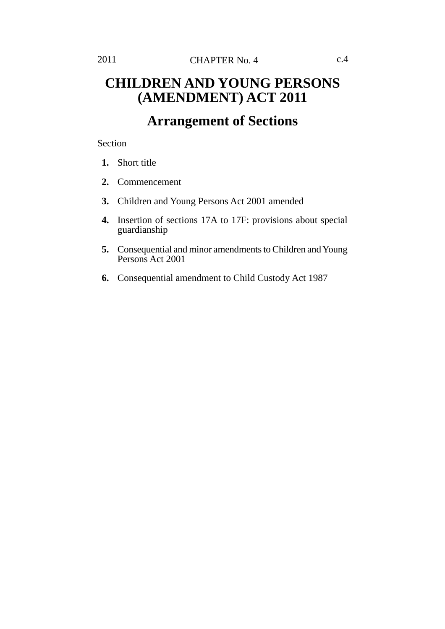## **CHILDREN AND YOUNG PERSONS (AMENDMENT) ACT 2011**

## **Arrangement of Sections**

Section

- **1.** Short title
- **2.** Commencement
- **3.** Children and Young Persons Act 2001 amended
- **4.** Insertion of sections 17A to 17F: provisions about special guardianship
- **5.** Consequential and minor amendments to Children and Young Persons Act 2001
- **6.** Consequential amendment to Child Custody Act 1987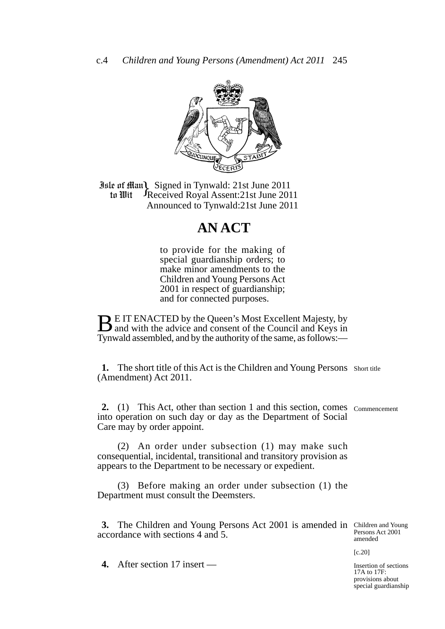

**Jule of Ham Signed in Tynwald: 21st June 2011**<br> **10 In Wit** Freceived Royal Assent: 21st June 20 Received Royal Assent:21st June 2011 Announced to Tynwald:21st June 2011 to Wit

## **AN ACT**

to provide for the making of special guardianship orders; to make minor amendments to the Children and Young Persons Act 2001 in respect of guardianship; and for connected purposes.

**BE IT ENACTED by the Queen's Most Excellent Majesty, by** and with the advice and consent of the Council and Keys in Tynwald assembled, and by the authority of the same, as follows:—

1. The short title of this Act is the Children and Young Persons Short title (Amendment) Act 2011.

2. (1) This Act, other than section 1 and this section, comes commencement into operation on such day or day as the Department of Social Care may by order appoint.

(2) An order under subsection (1) may make such consequential, incidental, transitional and transitory provision as appears to the Department to be necessary or expedient.

(3) Before making an order under subsection (1) the Department must consult the Deemsters.

**3.** The Children and Young Persons Act 2001 is amended in Children and Young accordance with sections 4 and 5.

Persons Act 2001 amended

[c.20]

**4.** After section 17 insert — Insertion of sections

17A to 17F: provisions about special guardianship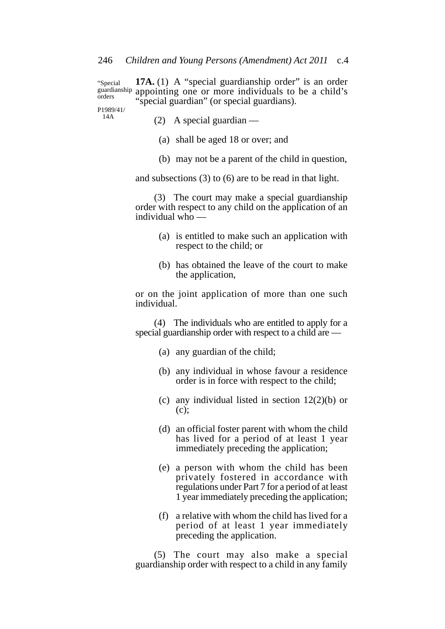**17A.** (1) A "special guardianship order" is an order appointing one or more individuals to be a child's "special guardian" (or special guardians). "Special guardianship orders

P1989/41/ 14A

(2) A special guardian —

- (a) shall be aged 18 or over; and
- (b) may not be a parent of the child in question,

and subsections (3) to (6) are to be read in that light.

(3) The court may make a special guardianship order with respect to any child on the application of an individual who  $-$ 

- (a) is entitled to make such an application with respect to the child; or
- (b) has obtained the leave of the court to make the application,

or on the joint application of more than one such individual.

(4) The individuals who are entitled to apply for a special guardianship order with respect to a child are —

- (a) any guardian of the child;
- (b) any individual in whose favour a residence order is in force with respect to the child;
- (c) any individual listed in section 12(2)(b) or  $(c)$ ;
- (d) an official foster parent with whom the child has lived for a period of at least 1 year immediately preceding the application;
- (e) a person with whom the child has been privately fostered in accordance with regulations under Part 7 for a period of at least 1 year immediately preceding the application;
- (f) a relative with whom the child has lived for a period of at least 1 year immediately preceding the application.

(5) The court may also make a special guardianship order with respect to a child in any family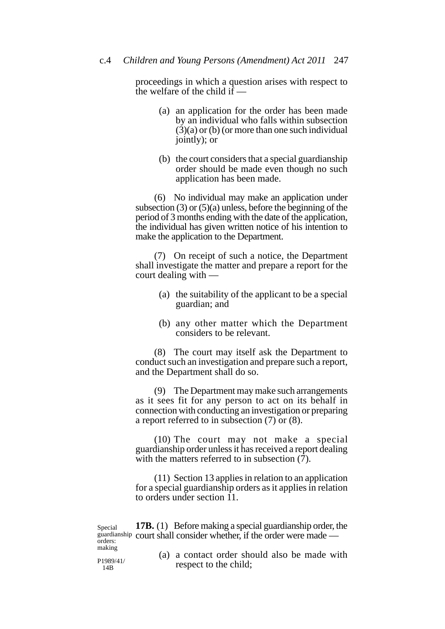proceedings in which a question arises with respect to the welfare of the child if  $-$ 

- (a) an application for the order has been made by an individual who falls within subsection (3)(a) or (b) (or more than one such individual jointly); or
- (b) the court considers that a special guardianship order should be made even though no such application has been made.

(6) No individual may make an application under subsection  $(3)$  or  $(5)(a)$  unless, before the beginning of the period of 3 months ending with the date of the application, the individual has given written notice of his intention to make the application to the Department.

(7) On receipt of such a notice, the Department shall investigate the matter and prepare a report for the court dealing with —

- (a) the suitability of the applicant to be a special guardian; and
- (b) any other matter which the Department considers to be relevant.

(8) The court may itself ask the Department to conduct such an investigation and prepare such a report, and the Department shall do so.

(9) The Department may make such arrangements as it sees fit for any person to act on its behalf in connection with conducting an investigation or preparing a report referred to in subsection (7) or (8).

(10) The court may not make a special guardianship order unless it has received a report dealing with the matters referred to in subsection  $(7)$ .

(11) Section 13 applies in relation to an application for a special guardianship orders as it applies in relation to orders under section 11.

**17B.** (1) Before making a special guardianship order, the guardianship court shall consider whether, if the order were made — Special orders: making

P1989/41/ 14B

(a) a contact order should also be made with respect to the child;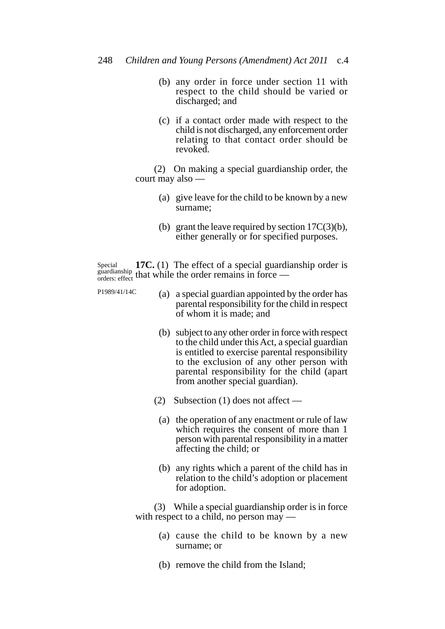- (b) any order in force under section 11 with respect to the child should be varied or discharged; and
- (c) if a contact order made with respect to the child is not discharged, any enforcement order relating to that contact order should be revoked.

(2) On making a special guardianship order, the court may also —

- (a) give leave for the child to be known by a new surname;
- (b) grant the leave required by section 17C(3)(b), either generally or for specified purposes.

**17C.** (1) The effect of a special guardianship order is guardianship that while the order remains in force — Special orders: effect

- P1989/41/14C
- (a) a special guardian appointed by the order has parental responsibility for the child in respect of whom it is made; and
- (b) subject to any other order in force with respect to the child under this Act, a special guardian is entitled to exercise parental responsibility to the exclusion of any other person with parental responsibility for the child (apart from another special guardian).
- (2) Subsection (1) does not affect
	- (a) the operation of any enactment or rule of law which requires the consent of more than 1 person with parental responsibility in a matter affecting the child; or
	- (b) any rights which a parent of the child has in relation to the child's adoption or placement for adoption.

(3) While a special guardianship order is in force with respect to a child, no person may —

- (a) cause the child to be known by a new surname; or
- (b) remove the child from the Island;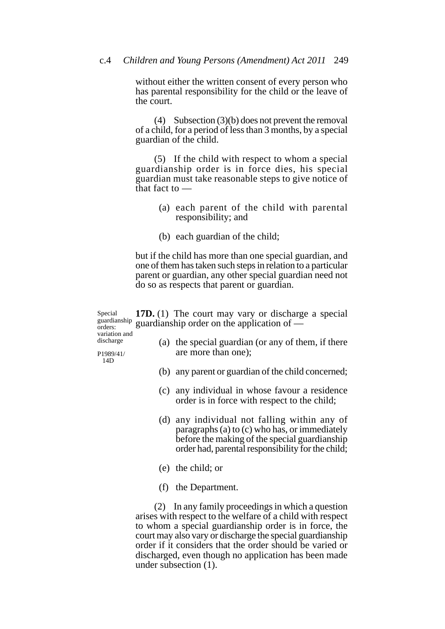without either the written consent of every person who has parental responsibility for the child or the leave of the court.

(4) Subsection (3)(b) does not prevent the removal of a child, for a period of less than 3 months, by a special guardian of the child.

(5) If the child with respect to whom a special guardianship order is in force dies, his special guardian must take reasonable steps to give notice of that fact to —

- (a) each parent of the child with parental responsibility; and
- (b) each guardian of the child;

but if the child has more than one special guardian, and one of them has taken such steps in relation to a particular parent or guardian, any other special guardian need not do so as respects that parent or guardian.

**17D.** (1) The court may vary or discharge a special guardianship order on the application of — Special guardianship orders:

variation and discharge

(a) the special guardian (or any of them, if there are more than one);

P1989/41/ 14D

- (b) any parent or guardian of the child concerned;
- (c) any individual in whose favour a residence order is in force with respect to the child;
- (d) any individual not falling within any of paragraphs (a) to (c) who has, or immediately before the making of the special guardianship order had, parental responsibility for the child;
- (e) the child; or
- (f) the Department.

(2) In any family proceedings in which a question arises with respect to the welfare of a child with respect to whom a special guardianship order is in force, the court may also vary or discharge the special guardianship order if it considers that the order should be varied or discharged, even though no application has been made under subsection (1).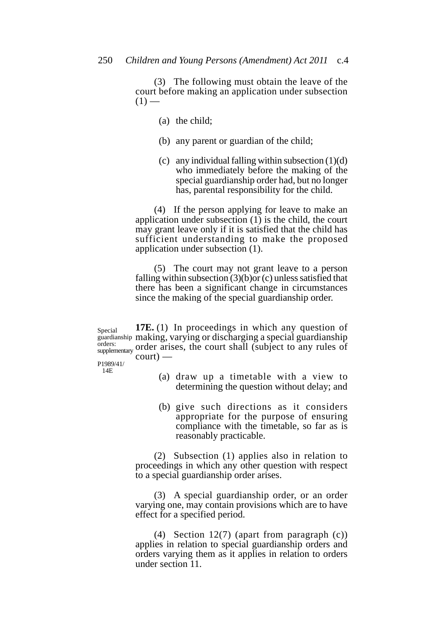(3) The following must obtain the leave of the court before making an application under subsection  $(1)$  —

- (a) the child;
- (b) any parent or guardian of the child;
- (c) any individual falling within subsection  $(1)(d)$ who immediately before the making of the special guardianship order had, but no longer has, parental responsibility for the child.

(4) If the person applying for leave to make an application under subsection  $(1)$  is the child, the court may grant leave only if it is satisfied that the child has sufficient understanding to make the proposed application under subsection (1).

(5) The court may not grant leave to a person falling within subsection  $(3)(b)$  or  $(c)$  unless satisfied that there has been a significant change in circumstances since the making of the special guardianship order.

**17E.** (1) In proceedings in which any question of guardianship making, varying or discharging a special guardianship order arises, the court shall (subject to any rules of  $\text{court)}$  — Special orders: supplementary

P1989/41/ 14E

- (a) draw up a timetable with a view to determining the question without delay; and
- (b) give such directions as it considers appropriate for the purpose of ensuring compliance with the timetable, so far as is reasonably practicable.

(2) Subsection (1) applies also in relation to proceedings in which any other question with respect to a special guardianship order arises.

(3) A special guardianship order, or an order varying one, may contain provisions which are to have effect for a specified period.

(4) Section 12(7) (apart from paragraph (c)) applies in relation to special guardianship orders and orders varying them as it applies in relation to orders under section 11.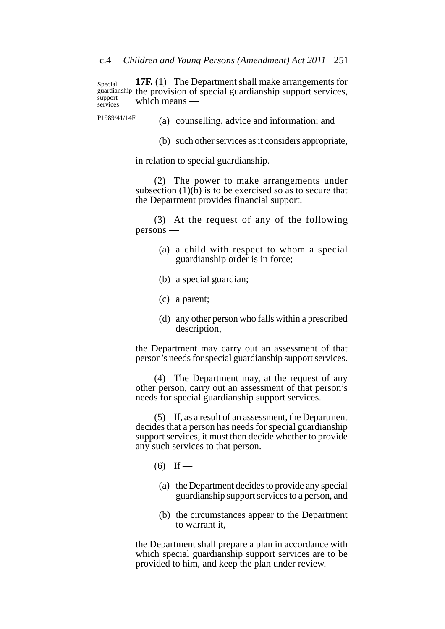**17F.** (1) The Department shall make arrangements for guardianship the provision of special guardianship support services, which means — Special support services

P1989/41/14F

(a) counselling, advice and information; and

(b) such other services as it considers appropriate,

in relation to special guardianship.

(2) The power to make arrangements under subsection  $(1)(\bar{b})$  is to be exercised so as to secure that the Department provides financial support.

(3) At the request of any of the following persons —

- (a) a child with respect to whom a special guardianship order is in force;
- (b) a special guardian;
- (c) a parent;
- (d) any other person who falls within a prescribed description,

the Department may carry out an assessment of that person's needs for special guardianship support services.

(4) The Department may, at the request of any other person, carry out an assessment of that person's needs for special guardianship support services.

(5) If, as a result of an assessment, the Department decides that a person has needs for special guardianship support services, it must then decide whether to provide any such services to that person.

- $(6)$  If
	- (a) the Department decides to provide any special guardianship support services to a person, and
	- (b) the circumstances appear to the Department to warrant it,

the Department shall prepare a plan in accordance with which special guardianship support services are to be provided to him, and keep the plan under review.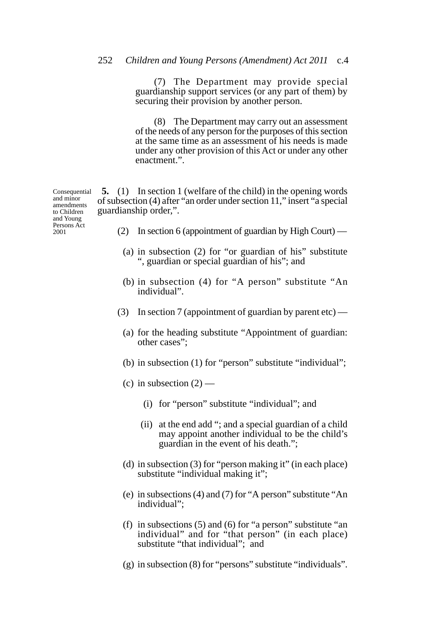(7) The Department may provide special guardianship support services (or any part of them) by securing their provision by another person.

(8) The Department may carry out an assessment of the needs of any person for the purposes of this section at the same time as an assessment of his needs is made under any other provision of this Act or under any other enactment.".

**5.** (1) In section 1 (welfare of the child) in the opening words of subsection (4) after "an order under section 11," insert "a special guardianship order,". **Consequential** 

- (2) In section 6 (appointment of guardian by High Court)
	- (a) in subsection (2) for "or guardian of his" substitute ", guardian or special guardian of his"; and
	- (b) in subsection (4) for "A person" substitute "An individual".
- (3) In section 7 (appointment of guardian by parent etc)
	- (a) for the heading substitute "Appointment of guardian: other cases";
	- (b) in subsection (1) for "person" substitute "individual";
	- (c) in subsection  $(2)$ 
		- (i) for "person" substitute "individual"; and
		- (ii) at the end add "; and a special guardian of a child may appoint another individual to be the child's guardian in the event of his death.";
	- (d) in subsection (3) for "person making it" (in each place) substitute "individual making it";
	- (e) in subsections (4) and (7) for "A person" substitute "An individual";
	- (f) in subsections (5) and (6) for "a person" substitute "an individual" and for "that person" (in each place) substitute "that individual"; and
	- (g) in subsection (8) for "persons" substitute "individuals".

and minor amendments to Children and Young Persons Act 2001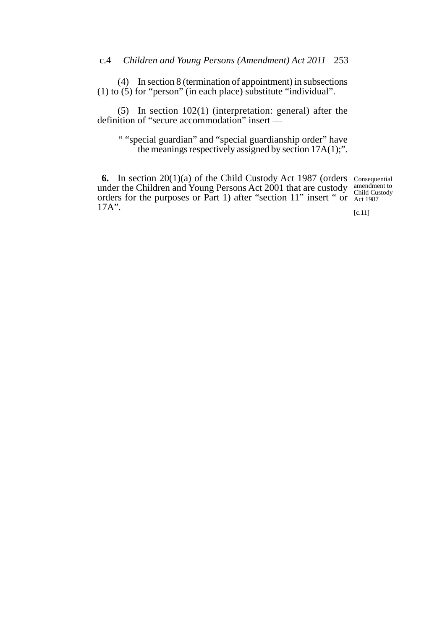(4) In section 8 (termination of appointment) in subsections (1) to  $(5)$  for "person" (in each place) substitute "individual".

(5) In section 102(1) (interpretation: general) after the definition of "secure accommodation" insert —

" "special guardian" and "special guardianship order" have the meanings respectively assigned by section 17A(1);".

**6.** In section 20(1)(a) of the Child Custody Act 1987 (orders Consequential under the Children and Young Persons Act 2001 that are custody orders for the purposes or Part 1) after "section 11" insert " or 17A".

amendment to Child Custody Act 1987

[c.11]